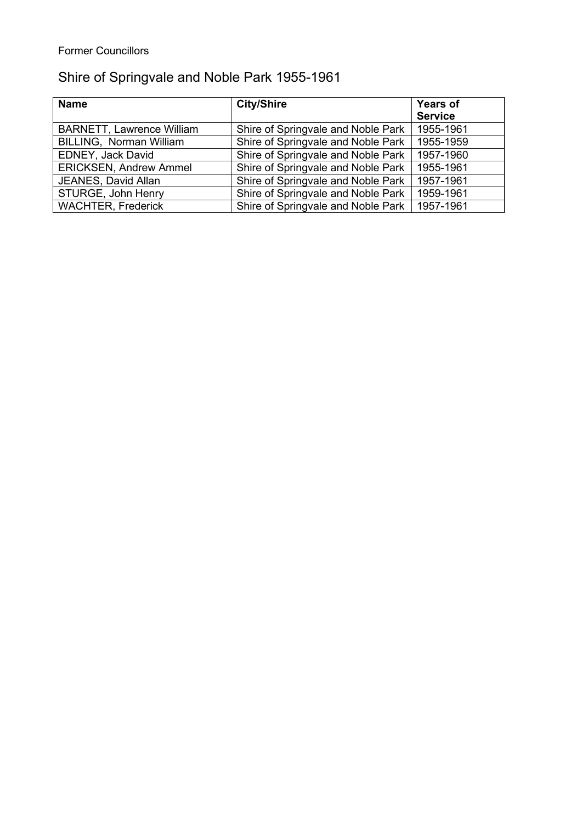## Former Councillors

## Shire of Springvale and Noble Park 1955-1961

| <b>Name</b>                      | <b>City/Shire</b>                  | <b>Years of</b> |
|----------------------------------|------------------------------------|-----------------|
|                                  |                                    | <b>Service</b>  |
| <b>BARNETT, Lawrence William</b> | Shire of Springvale and Noble Park | 1955-1961       |
| <b>BILLING, Norman William</b>   | Shire of Springvale and Noble Park | 1955-1959       |
| EDNEY, Jack David                | Shire of Springvale and Noble Park | 1957-1960       |
| <b>ERICKSEN, Andrew Ammel</b>    | Shire of Springvale and Noble Park | 1955-1961       |
| JEANES, David Allan              | Shire of Springvale and Noble Park | 1957-1961       |
| STURGE, John Henry               | Shire of Springvale and Noble Park | 1959-1961       |
| <b>WACHTER, Frederick</b>        | Shire of Springvale and Noble Park | 1957-1961       |